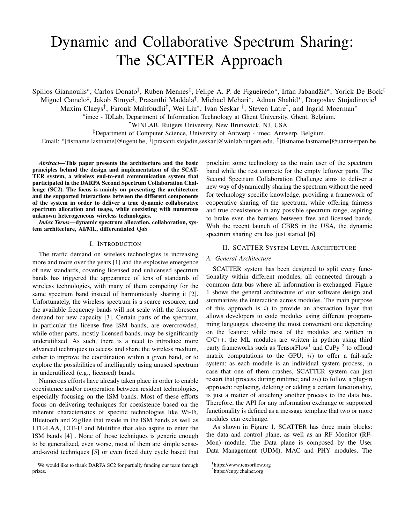# Dynamic and Collaborative Spectrum Sharing: The SCATTER Approach

Spilios Giannoulis<sup>∗</sup>, Carlos Donato<sup>‡</sup>, Ruben Mennes<sup>‡</sup>, Felipe A. P. de Figueiredo<sup>∗</sup>, Irfan Jabandžić<sup>∗</sup>, Yorick De Bock<sup>‡</sup> Miguel Camelo<sup>‡</sup>, Jakob Struye<sup>‡</sup>, Prasanthi Maddala<sup>†</sup>, Michael Mehari<sup>∗</sup>, Adnan Shahid\*, Dragoslav Stojadinovic<sup>†</sup>

Maxim Claeys<sup>‡</sup>, Farouk Mahfoudhi<sup>‡</sup>, Wei Liu<sup>\*</sup>, Ivan Seskar <sup>†</sup>, Steven Latre<sup>‡</sup>, and Ingrid Moerman<sup>\*</sup>

∗ imec - IDLab, Department of Information Technology at Ghent University, Ghent, Belgium.

†WINLAB, Rutgers University, New Brunswick, NJ, USA.

‡Department of Computer Science, University of Antwerp - imec, Antwerp, Belgium.

Email: \*[fistname.lastname]@ugent.be, <sup>†</sup>[prasanti,stojadin,seskar]@winlab.rutgers.edu, <sup>‡</sup>[fistname.lastname]@uantwerpen.be

*Abstract*—This paper presents the architecture and the basic principles behind the design and implementation of the SCAT-TER system, a wireless end-to-end communication system that participated in the DARPA Second Spectrum Collaboration Challenge (SC2). The focus is mainly on presenting the architecture and the supported interactions between the different components of the system in order to deliver a true dynamic collaborative spectrum allocation and usage, while coexisting with numerous unknown heterogeneous wireless technologies.

*Index Terms*—dynamic spectrum allocation, collaboration, system architecture, AI/ML, differentiated QoS

## I. INTRODUCTION

The traffic demand on wireless technologies is increasing more and more over the years [1] and the explosive emergence of new standards, covering licensed and unlicensed spectrum bands has triggered the appearance of tens of standards of wireless technologies, with many of them competing for the same spectrum band instead of harmoniously sharing it [2]. Unfortunately, the wireless spectrum is a scarce resource, and the available frequency bands will not scale with the foreseen demand for new capacity [3]. Certain parts of the spectrum, in particular the license free ISM bands, are overcrowded, while other parts, mostly licensed bands, may be significantly underutilized. As such, there is a need to introduce more advanced techniques to access and share the wireless medium, either to improve the coordination within a given band, or to explore the possibilities of intelligently using unused spectrum in underutilized (e.g., licensed) bands.

Numerous efforts have already taken place in order to enable coexistence and/or cooperation between resident technologies, especially focusing on the ISM bands. Most of these efforts focus on delivering techniques for coexistence based on the inherent characteristics of specific technologies like Wi-Fi, Bluetooth and ZigBee that reside in the ISM bands as well as LTE-LAA, LTE-U and Multifire that also aspire to enter the ISM bands [4] . None of those techniques is generic enough to be generalized, even worse, most of them are simple senseand-avoid techniques [5] or even fixed duty cycle based that

We would like to thank DARPA SC2 for partially funding our team through prizes.

proclaim some technology as the main user of the spectrum band while the rest compete for the empty leftover parts. The Second Spectrum Collaboration Challenge aims to deliver a new way of dynamically sharing the spectrum without the need for technology specific knowledge, providing a framework of cooperative sharing of the spectrum, while offering fairness and true coexistence in any possible spectrum range, aspiring to brake even the barriers between free and licensed bands. With the recent launch of CBRS in the USA, the dynamic spectrum sharing era has just started [6].

## II. SCATTER SYSTEM LEVEL ARCHITECTURE

## *A. General Architecture*

SCATTER system has been designed to split every functionality within different modules, all connected through a common data bus where all information is exchanged. Figure 1 shows the general architecture of our software design and summarizes the interaction across modules. The main purpose of this approach is  $i$ ) to provide an abstraction layer that allows developers to code modules using different programming languages, choosing the most convenient one depending on the feature: while most of the modules are written in C/C++, the ML modules are written in python using third party frameworks such as Tensor $Flow<sup>1</sup>$  and CuPy <sup>2</sup> to offload matrix computations to the GPU;  $ii$ ) to offer a fail-safe system: as each module is an individual system process, in case that one of them crashes, SCATTER system can just restart that process during runtime; and *iii*) to follow a plug-in approach: replacing, deleting or adding a certain functionality, is just a matter of attaching another process to the data bus. Therefore, the API for any information exchange or supported functionality is defined as a message template that two or more modules can exchange.

As shown in Figure 1, SCATTER has three main blocks: the data and control plane, as well as an RF Monitor (RF-Mon) module. The Data plane is composed by the User Data Management (UDM), MAC and PHY modules. The

<sup>1</sup>https://www.tensorflow.org

<sup>2</sup>https://cupy.chainer.org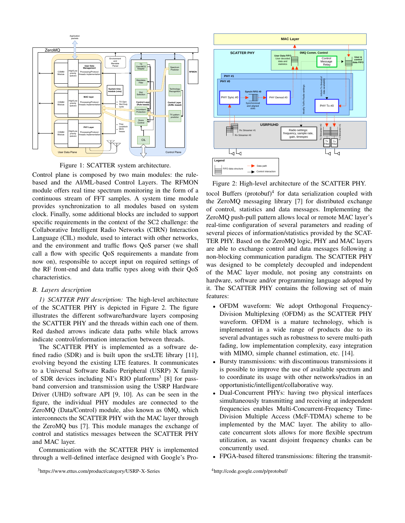

Figure 1: SCATTER system architecture.

Control plane is composed by two main modules: the rulebased and the AI/ML-based Control Layers. The RFMON module offers real time spectrum monitoring in the form of a continuous stream of FFT samples. A system time module provides synchronization to all modules based on system clock. Finally, some additional blocks are included to support specific requirements in the context of the SC2 challenge: the Collaborative Intelligent Radio Networks (CIRN) Interaction Language (CIL) module, used to interact with other networks, and the environment and traffic flows QoS parser (we shall call a flow with specific QoS requirements a mandate from now on), responsible to accept input on required settings of the RF front-end and data traffic types along with their QoS characteristics.

## *B. Layers description*

*1) SCATTER PHY description:* The high-level architecture of the SCATTER PHY is depicted in Figure 2. The figure illustrates the different software/hardware layers composing the SCATTER PHY and the threads within each one of them. Red dashed arrows indicate data paths while black arrows indicate control/information interaction between threads.

The SCATTER PHY is implemented as a software defined radio (SDR) and is built upon the srsLTE library [11], evolving beyond the existing LTE features. It communicates to a Universal Software Radio Peripheral (USRP) X family of SDR devices including NI's RIO platforms<sup>3</sup> [8] for passband conversion and transmission using the USRP Hardware Driver (UHD) software API [9, 10]. As can be seen in the figure, the individual PHY modules are connected to the ZeroMQ (Data/Control) module, also known as 0MQ, which interconnects the SCATTER PHY with the MAC layer through the ZeroMQ bus [7]. This module manages the exchange of control and statistics messages between the SCATTER PHY and MAC layer.

Communication with the SCATTER PHY is implemented through a well-defined interface designed with Google's Pro-



Figure 2: High-level architecture of the SCATTER PHY.

tocol Buffers (protobuf)<sup>4</sup> for data serialization coupled with the ZeroMQ messaging library [7] for distributed exchange of control, statistics and data messages. Implementing the ZeroMQ push-pull pattern allows local or remote MAC layer's real-time configuration of several parameters and reading of several pieces of information/statistics provided by the SCAT-TER PHY. Based on the ZeroMQ logic, PHY and MAC layers are able to exchange control and data messages following a non-blocking communication paradigm. The SCATTER PHY was designed to be completely decoupled and independent of the MAC layer module, not posing any constraints on hardware, software and/or programming language adopted by it. The SCATTER PHY contains the following set of main features:

- OFDM waveform: We adopt Orthogonal Frequency-Division Multiplexing (OFDM) as the SCATTER PHY waveform. OFDM is a mature technology, which is implemented in a wide range of products due to its several advantages such as robustness to severe multi-path fading, low implementation complexity, easy integration with MIMO, simple channel estimation, etc. [14].
- Bursty transmissions: with discontinuous transmissions it is possible to improve the use of available spectrum and to coordinate its usage with other networks/radios in an opportunistic/intelligent/collaborative way.
- Dual-Concurrent PHYs: having two physical interfaces simultaneously transmitting and receiving at independent frequencies enables Multi-Concurrent-Frequency Time-Division Multiple Access (McF-TDMA) scheme to be implemented by the MAC layer. The ability to allocate concurrent slots allows for more flexible spectrum utilization, as vacant disjoint frequency chunks can be concurrently used.
- FPGA-based filtered transmissions: filtering the transmit-

<sup>3</sup>https://www.ettus.com/product/category/USRP-X-Series

<sup>4</sup>http://code.google.com/p/protobuf/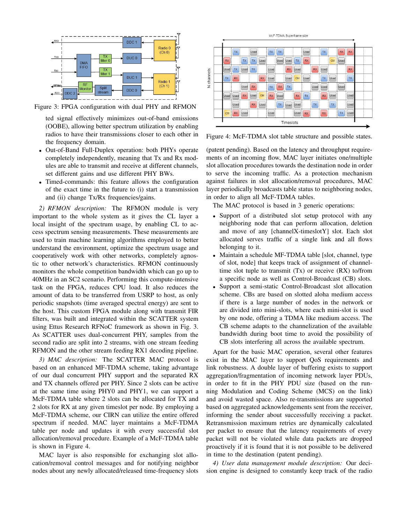

Figure 3: FPGA configuration with dual PHY and RFMON

ted signal effectively minimizes out-of-band emissions (OOBE), allowing better spectrum utilization by enabling radios to have their transmissions closer to each other in the frequency domain.

- Out-of-Band Full-Duplex operation: both PHYs operate completely independently, meaning that Tx and Rx modules are able to transmit and receive at different channels, set different gains and use different PHY BWs.
- Timed-commands: this feature allows the configuration of the exact time in the future to (i) start a transmission and (ii) change Tx/Rx frequencies/gains.

*2) RFMON description:* The RFMON module is very important to the whole system as it gives the CL layer a local insight of the spectrum usage, by enabling CL to access spectrum sensing measurements. These measurements are used to train machine learning algorithms employed to better understand the environment, optimize the spectrum usage and cooperatively work with other networks, completely agnostic to other network's characteristics. RFMON continuously monitors the whole competition bandwidth which can go up to 40MHz in an SC2 scenario. Performing this compute-intensive task on the FPGA, reduces CPU load. It also reduces the amount of data to be transferred from USRP to host, as only periodic snapshots (time averaged spectral energy) are sent to the host. This custom FPGA module along with transmit FIR filters, was built and integrated within the SCATTER system using Ettus Research RFNoC framework as shown in Fig. 3. As SCATTER uses dual-concurrent PHY, samples from the second radio are split into 2 streams, with one stream feeding RFMON and the other stream feeding RX1 decoding pipeline.

*3) MAC description:* The SCATTER MAC protocol is based on an enhanced MF-TDMA scheme, taking advantage of our dual concurrent PHY support and the separated RX and TX channels offered per PHY. Since 2 slots can be active at the same time using PHY0 and PHY1, we can support a McF-TDMA table where 2 slots can be allocated for TX and 2 slots for RX at any given timeslot per node. By employing a McF-TDMA scheme, our CIRN can utilize the entire offered spectrum if needed. MAC layer maintains a McF-TDMA table per node and updates it with every successful slot allocation/removal procedure. Example of a McF-TDMA table is shown in Figure 4.

MAC layer is also responsible for exchanging slot allocation/removal control messages and for notifying neighbor nodes about any newly allocated/released time-frequency slots



Figure 4: McF-TDMA slot table structure and possible states.

(patent pending). Based on the latency and throughput requirements of an incoming flow, MAC layer initiates one/multiple slot allocation procedures towards the destination node in order to serve the incoming traffic. As a protection mechanism against failures in slot allocation/removal procedures, MAC layer periodically broadcasts table status to neighboring nodes, in order to align all McF-TDMA tables.

The MAC protocol is based in 3 generic operations:

- Support of a distributed slot setup protocol with any neighboring node that can perform allocation, deletion and move of any [channelX-timeslotY] slot. Each slot allocated serves traffic of a single link and all flows belonging to it.
- Maintain a schedule MF-TDMA table [slot, channel, type of slot, node] that keeps track of assignment of channeltime slot tuple to transmit (Tx) or receive (RX) to/from a specific node as well as Control-Broadcast (CB) slots.
- Support a semi-static Control-Broadcast slot allocation scheme. CBs are based on slotted aloha medium access if there is a large number of nodes in the network or are divided into mini-slots, where each mini-slot is used by one node, offering a TDMA like medium access. The CB scheme adapts to the channelization of the available bandwidth during boot time to avoid the possibility of CB slots interfering all across the available spectrum.

Apart for the basic MAC operation, several other features exist in the MAC layer to support QoS requirements and link robustness. A double layer of buffering exists to support aggregation/fragmentation of incoming network layer PDUs, in order to fit in the PHY PDU size (based on the running Modulation and Coding Scheme (MCS) on the link) and avoid wasted space. Also re-transmissions are supported based on aggregated acknowledgements sent from the receiver, informing the sender about successfully receiving a packet. Retransmission maximum retries are dynamically calculated per packet to ensure that the latency requirements of every packet will not be violated while data packets are dropped proactively if it is found that it is not possible to be delivered in time to the destination (patent pending).

*4) User data management module description:* Our decision engine is designed to constantly keep track of the radio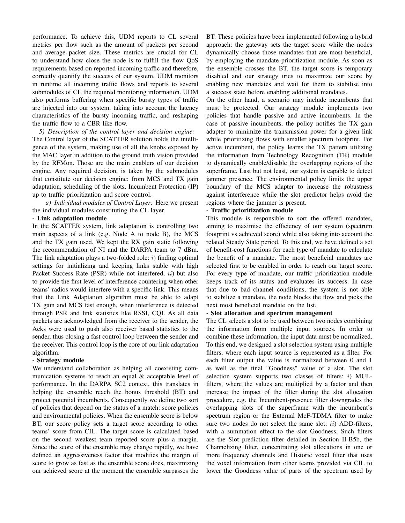performance. To achieve this, UDM reports to CL several metrics per flow such as the amount of packets per second and average packet size. These metrics are crucial for CL to understand how close the node is to fulfill the flow QoS requirements based on reported incoming traffic and therefore, correctly quantify the success of our system. UDM monitors in runtime all incoming traffic flows and reports to several submodules of CL the required monitoring information. UDM also performs buffering when specific bursty types of traffic are injected into our system, taking into account the latency characteristics of the bursty incoming traffic, and reshaping the traffic flow to a CBR like flow.

*5) Description of the control layer and decision engine:* The Control layer of the SCATTER solution holds the intelligence of the system, making use of all the knobs exposed by the MAC layer in addition to the ground truth vision provided by the RFMon. Those are the main enablers of our decision engine. Any required decision, is taken by the submodules that constitute our decision engine: from MCS and TX gain adaptation, scheduling of the slots, Incumbent Protection (IP) up to traffic prioritization and score control.

*a) Individual modules of Control Layer:* Here we present the individual modules constituting the CL layer.

## - Link adaptation module

In the SCATTER system, link adaptation is controlling two main aspects of a link (e.g. Node A to node B), the MCS and the TX gain used. We kept the RX gain static following the recommendation of NI and the DARPA team to 7 dBm. The link adaptation plays a two-folded role:  $i$ ) finding optimal settings for initializing and keeping links stable with high Packet Success Rate (PSR) while not interfered, ii) but also to provide the first level of interference countering when other teams' radios would interfere with a specific link. This means that the Link Adaptation algorithm must be able to adapt TX gain and MCS fast enough, when interference is detected through PSR and link statistics like RSSI, CQI. As all data packets are acknowledged from the receiver to the sender, the Acks were used to push also receiver based statistics to the sender, thus closing a fast control loop between the sender and the receiver. This control loop is the core of our link adaptation algorithm.

#### - Strategy module

We understand collaboration as helping all coexisting communication systems to reach an equal & acceptable level of performance. In the DARPA SC2 context, this translates in helping the ensemble reach the bonus threshold (BT) and protect potential incumbents. Consequently we define two sort of policies that depend on the status of a match: score policies and environmental policies. When the ensemble score is below BT, our score policy sets a target score according to other teams' score from CIL. The target score is calculated based on the second weakest team reported score plus a margin. Since the score of the ensemble may change rapidly, we have defined an aggressiveness factor that modifies the margin of score to grow as fast as the ensemble score does, maximizing our achieved score at the moment the ensemble surpasses the BT. These policies have been implemented following a hybrid approach: the gateway sets the target score while the nodes dynamically choose those mandates that are most beneficial, by employing the mandate prioritization module. As soon as the ensemble crosses the BT, the target score is temporary disabled and our strategy tries to maximize our score by enabling new mandates and wait for them to stabilise into a success state before enabling additional mandates.

On the other hand, a scenario may include incumbents that must be protected. Our strategy module implements two policies that handle passive and active incumbents. In the case of passive incumbents, the policy notifies the TX gain adapter to minimize the transmission power for a given link while prioritizing flows with smaller spectrum footprint. For active incumbent, the policy learns the TX pattern utilizing the information from Technology Recognition (TR) module to dynamically enable/disable the overlapping regions of the superframe. Last but not least, our system is capable to detect jammer presence. The environmental policy limits the upper boundary of the MCS adapter to increase the robustness against interference while the slot predictor helps avoid the regions where the jammer is present.

## - Traffic prioritization module

This module is responsible to sort the offered mandates, aiming to maximise the efficiency of our system (spectrum footprint vs achieved score) while also taking into account the related Steady State period. To this end, we have defined a set of benefit-cost functions for each type of mandate to calculate the benefit of a mandate. The most beneficial mandates are selected first to be enabled in order to reach our target score. For every type of mandate, our traffic prioritization module keeps track of its status and evaluates its success. In case that due to bad channel conditions, the system is not able to stabilize a mandate, the node blocks the flow and picks the next most beneficial mandate on the list.

#### - Slot allocation and spectrum management

The CL selects a slot to be used between two nodes combining the information from multiple input sources. In order to combine these information, the input data must be normalized. To this end, we designed a slot selection system using multiple filters, where each input source is represented as a filter. For each filter output the value is normalized between 0 and 1 as well as the final "Goodness" value of a slot. The slot selection system supports two classes of filters:  $i$ ) MULfilters, where the values are multiplied by a factor and then increase the impact of the filter during the slot allocation procedure, e.g. the Incumbent-presence filter downgrades the overlapping slots of the superframe with the incumbent's spectrum region or the External McF-TDMA filter to make sure two nodes do not select the same slot;  $ii)$  ADD-filters, with a summation effect to the slot Goodness. Such filters are the Slot prediction filter detailed in Section II-B5b, the Channelizing filter, concentrating slot allocations in one or more frequency channels and Historic voxel filter that uses the voxel information from other teams provided via CIL to lower the Goodness value of parts of the spectrum used by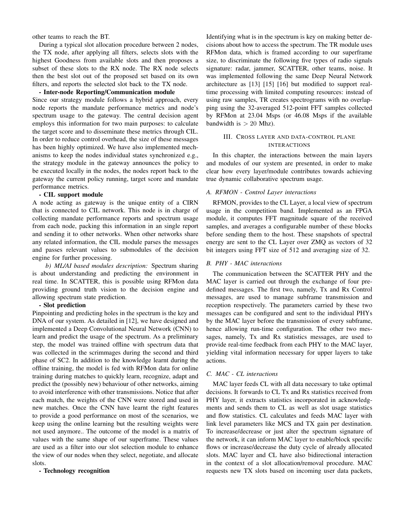other teams to reach the BT.

During a typical slot allocation procedure between 2 nodes, the TX node, after applying all filters, selects slots with the highest Goodness from available slots and then proposes a subset of these slots to the RX node. The RX node selects then the best slot out of the proposed set based on its own filters, and reports the selected slot back to the TX node.

- Inter-node Reporting/Communication module

Since our strategy module follows a hybrid approach, every node reports the mandate performance metrics and node's spectrum usage to the gateway. The central decision agent employs this information for two main purposes: to calculate the target score and to disseminate these metrics through CIL. In order to reduce control overhead, the size of these messages has been highly optimized. We have also implemented mechanisms to keep the nodes individual states synchronized e.g., the strategy module in the gateway announces the policy to be executed locally in the nodes, the nodes report back to the gateway the current policy running, target score and mandate performance metrics.

### - CIL support module

A node acting as gateway is the unique entity of a CIRN that is connected to CIL network. This node is in charge of collecting mandate performance reports and spectrum usage from each node, packing this information in an single report and sending it to other networks. When other networks share any related information, the CIL module parses the messages and passes relevant values to submodules of the decision engine for further processing.

*b) ML/AI based modules description:* Spectrum sharing is about understanding and predicting the environment in real time. In SCATTER, this is possible using RFMon data providing ground truth vision to the decision engine and allowing spectrum state prediction.

## - Slot prediction

Pinpointing and predicting holes in the spectrum is the key and DNA of our system. As detailed in [12], we have designed and implemented a Deep Convolutional Neural Network (CNN) to learn and predict the usage of the spectrum. As a preliminary step, the model was trained offline with spectrum data that was collected in the scrimmages during the second and third phase of SC2. In addition to the knowledge learnt during the offline training, the model is fed with RFMon data for online training during matches to quickly learn, recognize, adapt and predict the (possibly new) behaviour of other networks, aiming to avoid interference with other transmissions. Notice that after each match, the weights of the CNN were stored and used in new matches. Once the CNN have learnt the right features to provide a good performance on most of the scenarios, we keep using the online learning but the resulting weights were not used anymore.. The outcome of the model is a matrix of values with the same shape of our superframe. These values are used as a filter into our slot selection module to enhance the view of our nodes when they select, negotiate, and allocate slots.

#### - Technology recognition

Identifying what is in the spectrum is key on making better decisions about how to access the spectrum. The TR module uses RFMon data, which is framed according to our superframe size, to discriminate the following five types of radio signals signature: radar, jammer, SCATTER, other teams, noise. It was implemented following the same Deep Neural Network architecture as [13] [15] [16] but modified to support realtime processing with limited computing resources: instead of using raw samples, TR creates spectrograms with no overlapping using the 32-averaged 512-point FFT samples collected by RFMon at 23.04 Msps (or 46.08 Msps if the available bandwidth is  $> 20$  Mhz).

## III. CROSS LAYER AND DATA-CONTROL PLANE INTERACTIONS

In this chapter, the interactions between the main layers and modules of our system are presented, in order to make clear how every layer/module contributes towards achieving true dynamic collaborative spectrum usage.

## *A. RFMON - Control Layer interactions*

RFMON, provides to the CL Layer, a local view of spectrum usage in the competition band. Implemented as an FPGA module, it computes FFT magnitude square of the received samples, and averages a configurable number of these blocks before sending them to the host. These snapshots of spectral energy are sent to the CL Layer over ZMQ as vectors of 32 bit integers using FFT size of 512 and averaging size of 32.

## *B. PHY - MAC interactions*

The communication between the SCATTER PHY and the MAC layer is carried out through the exchange of four predefined messages. The first two, namely, Tx and Rx Control messages, are used to manage subframe transmission and reception respectively. The parameters carried by these two messages can be configured and sent to the individual PHYs by the MAC layer before the transmission of every subframe, hence allowing run-time configuration. The other two messages, namely, Tx and Rx statistics messages, are used to provide real-time feedback from each PHY to the MAC layer, yielding vital information necessary for upper layers to take actions.

## *C. MAC - CL interactions*

MAC layer feeds CL with all data necessary to take optimal decisions. It forwards to CL Tx and Rx statistics received from PHY layer, it extracts statistics incorporated in acknowledgments and sends them to CL as well as slot usage statistics and flow statistics. CL calculates and feeds MAC layer with link level parameters like MCS and TX gain per destination. To increase/decrease or just alter the spectrum signature of the network, it can inform MAC layer to enable/block specific flows or increase/decrease the duty cycle of already allocated slots. MAC layer and CL have also bidirectional interaction in the context of a slot allocation/removal procedure. MAC requests new TX slots based on incoming user data packets,